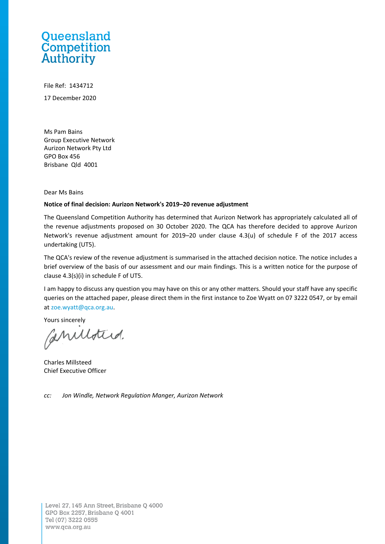# Queensland **Competition**<br>Authority

File Ref: 1434712 17 December 2020

Ms Pam Bains Group Executive Network Aurizon Network Pty Ltd GPO Box 456 Brisbane Qld 4001

Dear Ms Bains

#### **Notice of final decision: Aurizon Network's 2019–20 revenue adjustment**

The Queensland Competition Authority has determined that Aurizon Network has appropriately calculated all of the revenue adjustments proposed on 30 October 2020. The QCA has therefore decided to approve Aurizon Network's revenue adjustment amount for 2019–20 under clause 4.3(u) of schedule F of the 2017 access undertaking (UT5).

The QCA's review of the revenue adjustment is summarised in the attached decision notice. The notice includes a brief overview of the basis of our assessment and our main findings. This is a written notice for the purpose of clause 4.3(s)(i) in schedule F of UT5.

I am happy to discuss any question you may have on this or any other matters. Should your staff have any specific queries on the attached paper, please direct them in the first instance to Zoe Wyatt on 07 3222 0547, or by email at [zoe.wyatt@qca.org.au.](mailto:zoe.wyatt@qca.org.au)

Yours sincerely

Caniloted.

Charles Millsteed Chief Executive Officer

*cc: Jon Windle, Network Regulation Manger, Aurizon Network*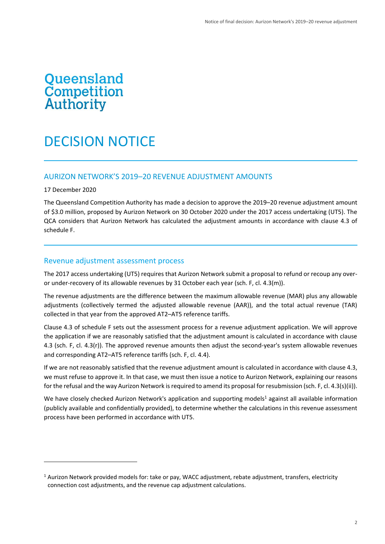# **Queensland<br>Competition<br>Authority**

# DECISION NOTICE

## AURIZON NETWORK'S 2019–20 REVENUE ADJUSTMENT AMOUNTS

#### 17 December 2020

The Queensland Competition Authority has made a decision to approve the 2019–20 revenue adjustment amount of \$3.0 million, proposed by Aurizon Network on 30 October 2020 under the 2017 access undertaking (UT5). The QCA considers that Aurizon Network has calculated the adjustment amounts in accordance with clause 4.3 of schedule F.

#### Revenue adjustment assessment process

The 2017 access undertaking (UT5) requires that Aurizon Network submit a proposal to refund or recoup any overor under-recovery of its allowable revenues by 31 October each year (sch. F, cl. 4.3(m)).

The revenue adjustments are the difference between the maximum allowable revenue (MAR) plus any allowable adjustments (collectively termed the adjusted allowable revenue (AAR)), and the total actual revenue (TAR) collected in that year from the approved AT2–AT5 reference tariffs.

Clause 4.3 of schedule F sets out the assessment process for a revenue adjustment application. We will approve the application if we are reasonably satisfied that the adjustment amount is calculated in accordance with clause 4.3 (sch. F, cl. 4.3(r)). The approved revenue amounts then adjust the second-year's system allowable revenues and corresponding AT2–AT5 reference tariffs (sch. F, cl. 4.4).

If we are not reasonably satisfied that the revenue adjustment amount is calculated in accordance with clause 4.3, we must refuse to approve it. In that case, we must then issue a notice to Aurizon Network, explaining our reasons for the refusal and the way Aurizon Network is required to amend its proposal for resubmission (sch. F, cl. 4.3(s)(ii)).

We have closely checked Aurizon Network's application and supporting models<sup>1</sup> against all available information (publicly available and confidentially provided), to determine whether the calculations in this revenue assessment process have been performed in accordance with UT5.

<sup>1</sup> Aurizon Network provided models for: take or pay, WACC adjustment, rebate adjustment, transfers, electricity connection cost adjustments, and the revenue cap adjustment calculations.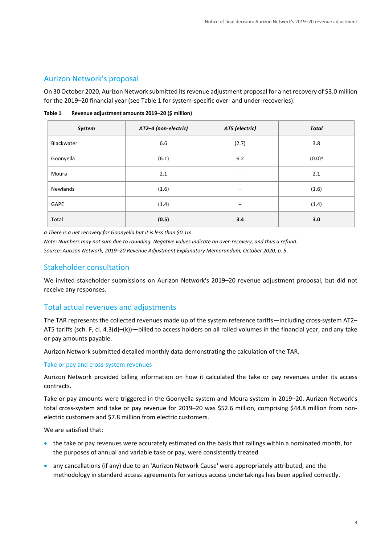# Aurizon Network's proposal

On 30 October 2020, Aurizon Network submitted its revenue adjustment proposal for a net recovery of \$3.0 million for the 2019–20 financial year (se[e Table 1](#page-2-0) for system-specific over- and under-recoveries).

| System          | AT2-4 (non-electric) | AT5 (electric) | <b>Total</b> |
|-----------------|----------------------|----------------|--------------|
| Blackwater      | 6.6                  | (2.7)          | 3.8          |
| Goonyella       | (6.1)                | 6.2            | $(0.0)^a$    |
| Moura           | 2.1                  | -              | 2.1          |
| <b>Newlands</b> | (1.6)                | -              | (1.6)        |
| GAPE            | (1.4)                |                | (1.4)        |
| Total           | (0.5)                | 3.4            | 3.0          |

<span id="page-2-0"></span>**Table 1 Revenue adjustment amounts 2019–20 (\$ million)**

*a There is a net recovery for Goonyella but it is less than \$0.1m.* 

*Note: Numbers may not sum due to rounding. Negative values indicate an over-recovery, and thus a refund. Source: Aurizon Network, 2019–20 Revenue Adjustment Explanatory Memorandum, October 2020, p. 5.*

# Stakeholder consultation

We invited stakeholder submissions on Aurizon Network's 2019–20 revenue adjustment proposal, but did not receive any responses.

# Total actual revenues and adjustments

The TAR represents the collected revenues made up of the system reference tariffs—including cross-system AT2– AT5 tariffs (sch. F, cl. 4.3(d)–(k))—billed to access holders on all railed volumes in the financial year, and any take or pay amounts payable.

Aurizon Network submitted detailed monthly data demonstrating the calculation of the TAR.

## Take or pay and cross-system revenues

Aurizon Network provided billing information on how it calculated the take or pay revenues under its access contracts.

Take or pay amounts were triggered in the Goonyella system and Moura system in 2019–20. Aurizon Network's total cross-system and take or pay revenue for 2019–20 was \$52.6 million, comprising \$44.8 million from nonelectric customers and \$7.8 million from electric customers.

We are satisfied that:

- the take or pay revenues were accurately estimated on the basis that railings within a nominated month, for the purposes of annual and variable take or pay, were consistently treated
- any cancellations (if any) due to an 'Aurizon Network Cause' were appropriately attributed, and the methodology in standard access agreements for various access undertakings has been applied correctly.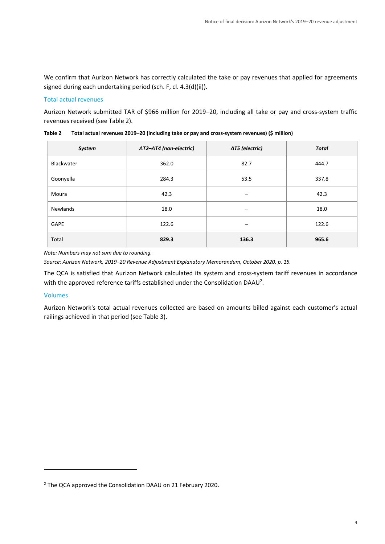We confirm that Aurizon Network has correctly calculated the take or pay revenues that applied for agreements signed during each undertaking period (sch. F, cl. 4.3(d)(ii)).

#### Total actual revenues

Aurizon Network submitted TAR of \$966 million for 2019–20, including all take or pay and cross-system traffic revenues received (se[e Table 2\)](#page-3-0).

| System      | AT2-AT4 (non-electric) | AT5 (electric)           | <b>Total</b> |  |
|-------------|------------------------|--------------------------|--------------|--|
| Blackwater  | 362.0                  | 82.7                     | 444.7        |  |
| Goonyella   | 284.3                  | 53.5                     | 337.8        |  |
| Moura       | 42.3                   | $\qquad \qquad$          | 42.3         |  |
| Newlands    | 18.0                   |                          | 18.0         |  |
| <b>GAPE</b> | 122.6                  | $\overline{\phantom{m}}$ | 122.6        |  |
| Total       | 829.3                  | 136.3                    | 965.6        |  |

<span id="page-3-0"></span>**Table 2 Total actual revenues 2019–20 (including take or pay and cross-system revenues) (\$ million)**

*Note: Numbers may not sum due to rounding.*

*Source: Aurizon Network, 2019–20 Revenue Adjustment Explanatory Memorandum, October 2020, p. 15.*

The QCA is satisfied that Aurizon Network calculated its system and cross-system tariff revenues in accordance with the approved reference tariffs established under the Consolidation DAAU<sup>2</sup>.

#### Volumes

Aurizon Network's total actual revenues collected are based on amounts billed against each customer's actual railings achieved in that period (see Table 3).

<sup>2</sup> The QCA approved the Consolidation DAAU on 21 February 2020.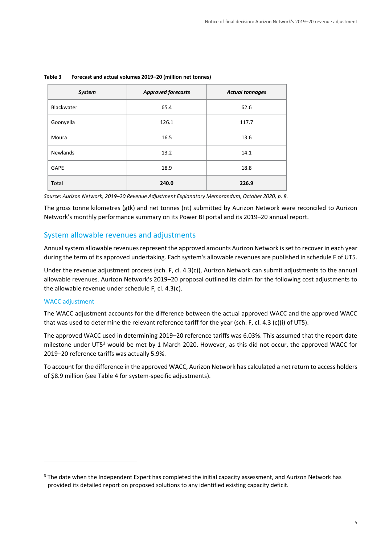| <b>System</b>   | <b>Approved forecasts</b> | <b>Actual tonnages</b> |
|-----------------|---------------------------|------------------------|
| Blackwater      | 65.4                      | 62.6                   |
| Goonyella       | 126.1                     | 117.7                  |
| Moura           | 16.5                      | 13.6                   |
| <b>Newlands</b> | 13.2                      | 14.1                   |
| GAPE            | 18.9                      | 18.8                   |
| Total           | 240.0                     | 226.9                  |

#### **Table 3 Forecast and actual volumes 2019–20 (million net tonnes)**

*Source: Aurizon Network, 2019–20 Revenue Adjustment Explanatory Memorandum, October 2020, p. 8.*

The gross tonne kilometres (gtk) and net tonnes (nt) submitted by Aurizon Network were reconciled to Aurizon Network's monthly performance summary on its Power BI portal and its 2019–20 annual report.

## System allowable revenues and adjustments

Annual system allowable revenues represent the approved amounts Aurizon Network is set to recover in each year during the term of its approved undertaking. Each system's allowable revenues are published in schedule F of UT5.

Under the revenue adjustment process (sch. F, cl. 4.3(c)), Aurizon Network can submit adjustments to the annual allowable revenues. Aurizon Network's 2019–20 proposal outlined its claim for the following cost adjustments to the allowable revenue under schedule F, cl. 4.3(c).

#### WACC adjustment

The WACC adjustment accounts for the difference between the actual approved WACC and the approved WACC that was used to determine the relevant reference tariff for the year (sch. F, cl. 4.3 (c)(i) of UT5).

The approved WACC used in determining 2019–20 reference tariffs was 6.03%. This assumed that the report date milestone under UT5<sup>3</sup> would be met by 1 March 2020. However, as this did not occur, the approved WACC for 2019–20 reference tariffs was actually 5.9%.

To account for the difference in the approved WACC, Aurizon Network has calculated a net return to access holders of \$8.9 million (see Table 4 for system-specific adjustments).

<sup>&</sup>lt;sup>3</sup> The date when the Independent Expert has completed the initial capacity assessment, and Aurizon Network has provided its detailed report on proposed solutions to any identified existing capacity deficit.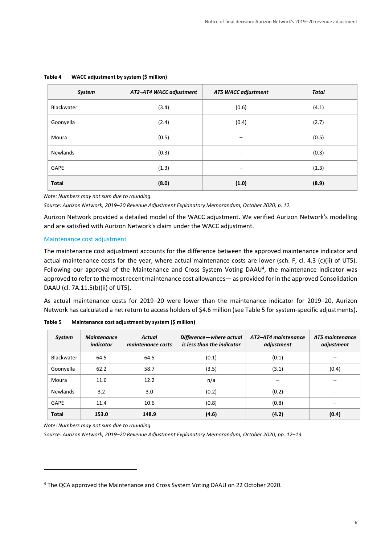| System        | AT2-AT4 WACC adjustment | <b>AT5 WACC adjustment</b> | <b>Total</b> |  |
|---------------|-------------------------|----------------------------|--------------|--|
| Blackwater    | (3.4)                   | (0.6)                      | (4.1)        |  |
| Goonyella     | (2.4)<br>(0.4)          |                            | (2.7)        |  |
| Moura         | (0.5)                   |                            | (0.5)        |  |
| Newlands      | (0.3)                   |                            | (0.3)        |  |
| (1.3)<br>GAPE |                         |                            | (1.3)        |  |
| <b>Total</b>  | (8.0)                   | (1.0)                      | (8.9)        |  |

#### **Table 4 WACC adjustment by system (\$ million)**

*Note: Numbers may not sum due to rounding.*

*Source: Aurizon Network, 2019–20 Revenue Adjustment Explanatory Memorandum, October 2020, p. 12.*

Aurizon Network provided a detailed model of the WACC adjustment. We verified Aurizon Network's modelling and are satisfied with Aurizon Network's claim under the WACC adjustment.

#### Maintenance cost adjustment

The maintenance cost adjustment accounts for the difference between the approved maintenance indicator and actual maintenance costs for the year, where actual maintenance costs are lower (sch. F, cl. 4.3 (c)(ii) of UT5). Following our approval of the Maintenance and Cross System Voting DAAU<sup>4</sup>, the maintenance indicator was approved to refer to the most recent maintenance cost allowances— as provided for in the approved Consolidation DAAU (cl. 7A.11.5(b)(ii) of UT5).

As actual maintenance costs for 2019–20 were lower than the maintenance indicator for 2019–20, Aurizon Network has calculated a net return to access holders of \$4.6 million (see Table 5 for system-specific adjustments).

| <b>System</b>   | <b>Maintenance</b><br>indicator | <b>Actual</b><br>maintenance costs | Difference-where actual<br>is less than the indicator | AT2-AT4 maintenance<br>adjustment |       |
|-----------------|---------------------------------|------------------------------------|-------------------------------------------------------|-----------------------------------|-------|
| Blackwater      | 64.5                            | 64.5                               | (0.1)                                                 | (0.1)                             |       |
| Goonyella       | 62.2                            | 58.7                               | (3.5)                                                 | (3.1)                             | (0.4) |
| Moura           | 11.6                            | 12.2                               | n/a                                                   |                                   |       |
| <b>Newlands</b> | 3.2                             | 3.0                                | (0.2)                                                 | (0.2)                             |       |
| GAPE            | 11.4                            | 10.6                               | (0.8)                                                 | (0.8)                             |       |
| <b>Total</b>    | 153.0                           | 148.9                              | (4.6)                                                 | (4.2)                             | (0.4) |

**Table 5 Maintenance cost adjustment by system (\$ million)**

*Note: Numbers may not sum due to rounding.*

*Source: Aurizon Network, 2019–20 Revenue Adjustment Explanatory Memorandum, October 2020, pp. 12–13.*

<sup>4</sup> The QCA approved the Maintenance and Cross System Voting DAAU on 22 October 2020.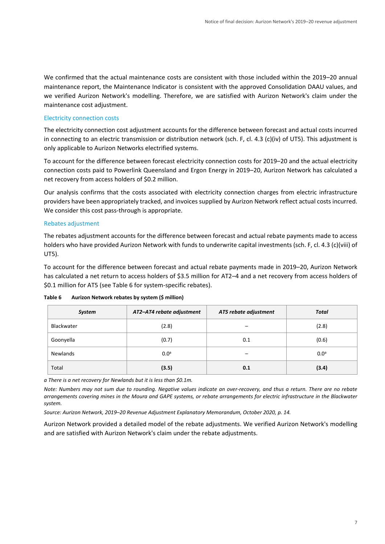We confirmed that the actual maintenance costs are consistent with those included within the 2019–20 annual maintenance report, the Maintenance Indicator is consistent with the approved Consolidation DAAU values, and we verified Aurizon Network's modelling. Therefore, we are satisfied with Aurizon Network's claim under the maintenance cost adjustment.

#### Electricity connection costs

The electricity connection cost adjustment accounts for the difference between forecast and actual costs incurred in connecting to an electric transmission or distribution network (sch. F, cl. 4.3 (c)(iv) of UT5). This adjustment is only applicable to Aurizon Networks electrified systems.

To account for the difference between forecast electricity connection costs for 2019–20 and the actual electricity connection costs paid to Powerlink Queensland and Ergon Energy in 2019–20, Aurizon Network has calculated a net recovery from access holders of \$0.2 million.

Our analysis confirms that the costs associated with electricity connection charges from electric infrastructure providers have been appropriately tracked, and invoices supplied by Aurizon Network reflect actual costs incurred. We consider this cost pass-through is appropriate.

#### Rebates adjustment

The rebates adjustment accounts for the difference between forecast and actual rebate payments made to access holders who have provided Aurizon Network with funds to underwrite capital investments (sch. F, cl. 4.3 (c)(viii) of UT5).

To account for the difference between forecast and actual rebate payments made in 2019–20, Aurizon Network has calculated a net return to access holders of \$3.5 million for AT2-4 and a net recovery from access holders of \$0.1 million for AT5 (see Table 6 for system-specific rebates).

| System     | AT2-AT4 rebate adjustment | AT5 rebate adjustment | <b>Total</b>     |
|------------|---------------------------|-----------------------|------------------|
| Blackwater | (2.8)                     |                       | (2.8)            |
| Goonyella  | (0.7)                     | 0.1                   | (0.6)            |
| Newlands   | 0.0 <sup>a</sup>          |                       | 0.0 <sup>a</sup> |
| Total      | (3.5)                     | 0.1                   | (3.4)            |

**Table 6 Aurizon Network rebates by system (\$ million)**

*a There is a net recovery for Newlands but it is less than \$0.1m.* 

*Note: Numbers may not sum due to rounding. Negative values indicate an over-recovery, and thus a return. There are no rebate arrangements covering mines in the Moura and GAPE systems, or rebate arrangements for electric infrastructure in the Blackwater system.* 

*Source: Aurizon Network, 2019–20 Revenue Adjustment Explanatory Memorandum, October 2020, p. 14.*

Aurizon Network provided a detailed model of the rebate adjustments. We verified Aurizon Network's modelling and are satisfied with Aurizon Network's claim under the rebate adjustments.